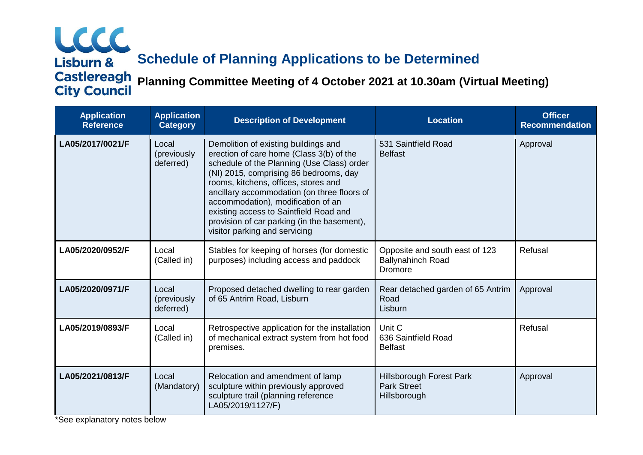# LCCC Lisburn & **Schedule of Planning Applications to be Determined Castlereagh Planning Committee Meeting of 4 October 2021 at 10.30am (Virtual Meeting)**

| <b>Application</b><br><b>Reference</b> | <b>Application</b><br><b>Category</b> | <b>Description of Development</b>                                                                                                                                                                                                                                                                                                                                                                                               | <b>Location</b>                                                       | <b>Officer</b><br><b>Recommendation</b> |
|----------------------------------------|---------------------------------------|---------------------------------------------------------------------------------------------------------------------------------------------------------------------------------------------------------------------------------------------------------------------------------------------------------------------------------------------------------------------------------------------------------------------------------|-----------------------------------------------------------------------|-----------------------------------------|
| LA05/2017/0021/F                       | Local<br>(previously<br>deferred)     | Demolition of existing buildings and<br>erection of care home (Class 3(b) of the<br>schedule of the Planning (Use Class) order<br>(NI) 2015, comprising 86 bedrooms, day<br>rooms, kitchens, offices, stores and<br>ancillary accommodation (on three floors of<br>accommodation), modification of an<br>existing access to Saintfield Road and<br>provision of car parking (in the basement),<br>visitor parking and servicing | 531 Saintfield Road<br><b>Belfast</b>                                 | Approval                                |
| LA05/2020/0952/F                       | Local<br>(Called in)                  | Stables for keeping of horses (for domestic<br>purposes) including access and paddock                                                                                                                                                                                                                                                                                                                                           | Opposite and south east of 123<br><b>Ballynahinch Road</b><br>Dromore | Refusal                                 |
| LA05/2020/0971/F                       | Local<br>(previously<br>deferred)     | Proposed detached dwelling to rear garden<br>of 65 Antrim Road, Lisburn                                                                                                                                                                                                                                                                                                                                                         | Rear detached garden of 65 Antrim<br>Road<br>Lisburn                  | Approval                                |
| LA05/2019/0893/F                       | Local<br>(Called in)                  | Retrospective application for the installation<br>of mechanical extract system from hot food<br>premises.                                                                                                                                                                                                                                                                                                                       | Unit C<br>636 Saintfield Road<br><b>Belfast</b>                       | Refusal                                 |
| LA05/2021/0813/F                       | Local<br>(Mandatory)                  | Relocation and amendment of lamp<br>sculpture within previously approved<br>sculpture trail (planning reference<br>LA05/2019/1127/F)                                                                                                                                                                                                                                                                                            | <b>Hillsborough Forest Park</b><br><b>Park Street</b><br>Hillsborough | Approval                                |

\*See explanatory notes below